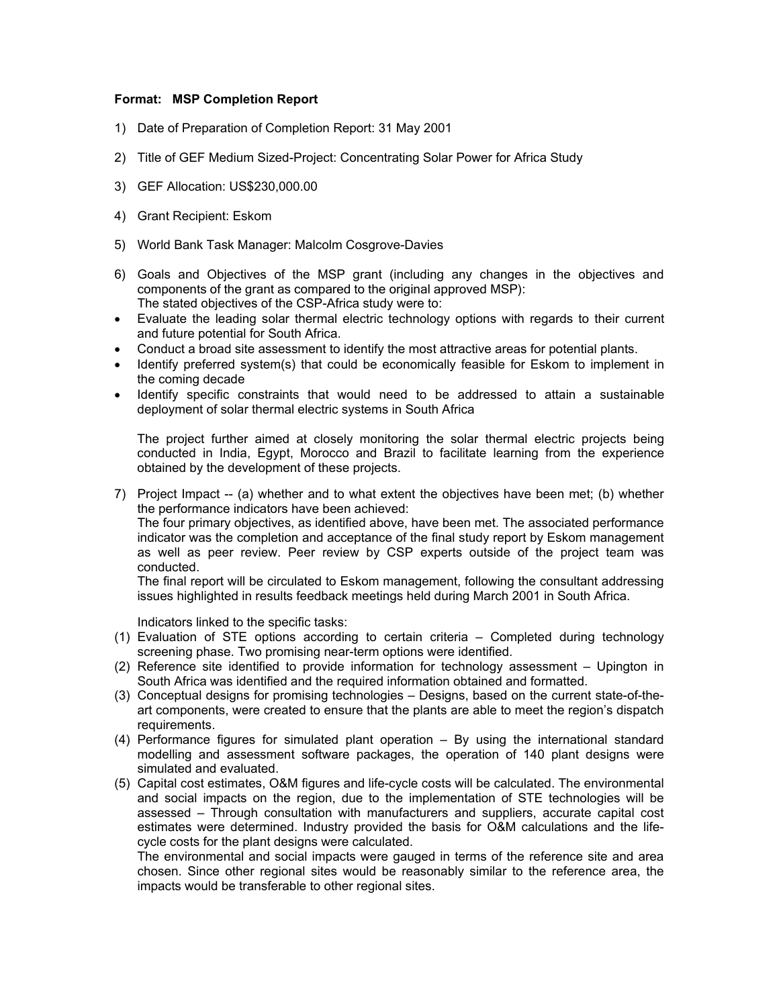## **Format: MSP Completion Report**

- 1) Date of Preparation of Completion Report: 31 May 2001
- 2) Title of GEF Medium Sized-Project: Concentrating Solar Power for Africa Study
- 3) GEF Allocation: US\$230,000.00
- 4) Grant Recipient: Eskom
- 5) World Bank Task Manager: Malcolm Cosgrove-Davies
- 6) Goals and Objectives of the MSP grant (including any changes in the objectives and components of the grant as compared to the original approved MSP): The stated objectives of the CSP-Africa study were to:
- Evaluate the leading solar thermal electric technology options with regards to their current and future potential for South Africa.
- Conduct a broad site assessment to identify the most attractive areas for potential plants.
- Identify preferred system(s) that could be economically feasible for Eskom to implement in the coming decade
- Identify specific constraints that would need to be addressed to attain a sustainable deployment of solar thermal electric systems in South Africa

The project further aimed at closely monitoring the solar thermal electric projects being conducted in India, Egypt, Morocco and Brazil to facilitate learning from the experience obtained by the development of these projects.

7) Project Impact -- (a) whether and to what extent the objectives have been met; (b) whether the performance indicators have been achieved:

The four primary objectives, as identified above, have been met. The associated performance indicator was the completion and acceptance of the final study report by Eskom management as well as peer review. Peer review by CSP experts outside of the project team was conducted.

The final report will be circulated to Eskom management, following the consultant addressing issues highlighted in results feedback meetings held during March 2001 in South Africa.

Indicators linked to the specific tasks:

- (1) Evaluation of STE options according to certain criteria Completed during technology screening phase. Two promising near-term options were identified.
- (2) Reference site identified to provide information for technology assessment Upington in South Africa was identified and the required information obtained and formatted.
- (3) Conceptual designs for promising technologies Designs, based on the current state-of-theart components, were created to ensure that the plants are able to meet the region's dispatch requirements.
- (4) Performance figures for simulated plant operation By using the international standard modelling and assessment software packages, the operation of 140 plant designs were simulated and evaluated.
- (5) Capital cost estimates, O&M figures and life-cycle costs will be calculated. The environmental and social impacts on the region, due to the implementation of STE technologies will be assessed – Through consultation with manufacturers and suppliers, accurate capital cost estimates were determined. Industry provided the basis for O&M calculations and the lifecycle costs for the plant designs were calculated.

The environmental and social impacts were gauged in terms of the reference site and area chosen. Since other regional sites would be reasonably similar to the reference area, the impacts would be transferable to other regional sites.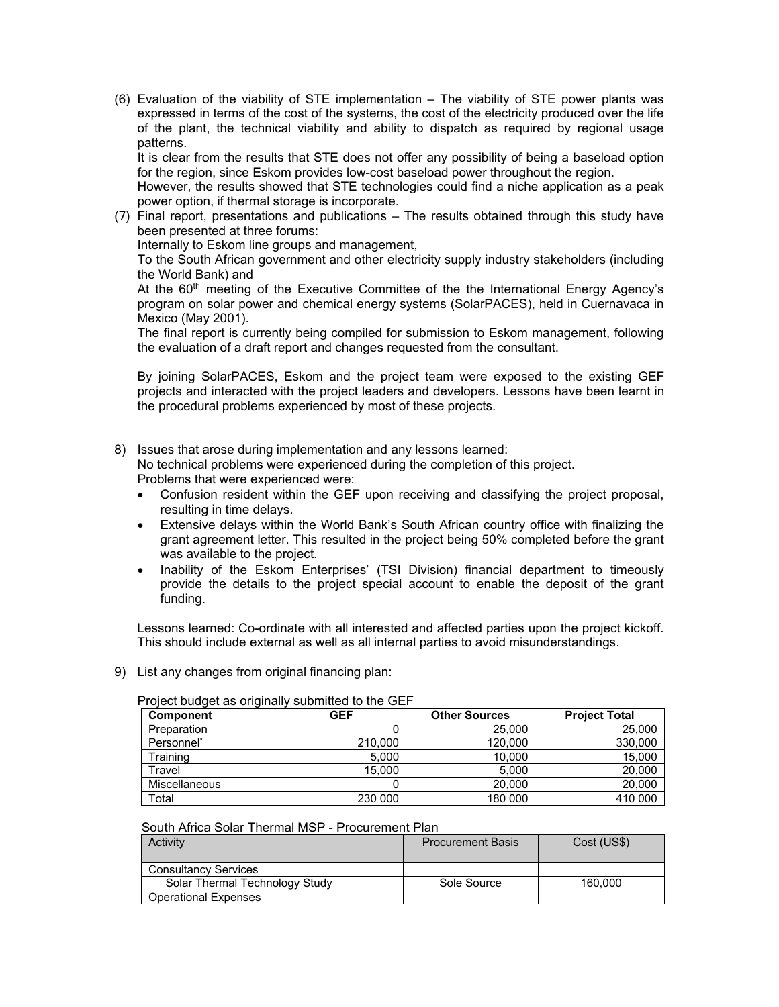(6) Evaluation of the viability of STE implementation – The viability of STE power plants was expressed in terms of the cost of the systems, the cost of the electricity produced over the life of the plant, the technical viability and ability to dispatch as required by regional usage patterns.

It is clear from the results that STE does not offer any possibility of being a baseload option for the region, since Eskom provides low-cost baseload power throughout the region.

However, the results showed that STE technologies could find a niche application as a peak power option, if thermal storage is incorporate.

(7) Final report, presentations and publications – The results obtained through this study have been presented at three forums:

Internally to Eskom line groups and management,

To the South African government and other electricity supply industry stakeholders (including the World Bank) and

At the 60<sup>th</sup> meeting of the Executive Committee of the the International Energy Agency's program on solar power and chemical energy systems (SolarPACES), held in Cuernavaca in Mexico (May 2001).

The final report is currently being compiled for submission to Eskom management, following the evaluation of a draft report and changes requested from the consultant.

By joining SolarPACES, Eskom and the project team were exposed to the existing GEF projects and interacted with the project leaders and developers. Lessons have been learnt in the procedural problems experienced by most of these projects.

8) Issues that arose during implementation and any lessons learned:

No technical problems were experienced during the completion of this project. Problems that were experienced were:

- Confusion resident within the GEF upon receiving and classifying the project proposal, resulting in time delays.
- Extensive delays within the World Bank's South African country office with finalizing the grant agreement letter. This resulted in the project being 50% completed before the grant was available to the project.
- Inability of the Eskom Enterprises' (TSI Division) financial department to timeously provide the details to the project special account to enable the deposit of the grant funding.

Lessons learned: Co-ordinate with all interested and affected parties upon the project kickoff. This should include external as well as all internal parties to avoid misunderstandings.

9) List any changes from original financing plan:

| <b>Component</b>       | GEF     | <b>Other Sources</b> | <b>Project Total</b> |
|------------------------|---------|----------------------|----------------------|
| Preparation            |         | 25.000               | 25.000               |
| Personnel <sup>®</sup> | 210,000 | 120,000              | 330,000              |
| Training               | 5.000   | 10.000               | 15,000               |
| Travel                 | 15.000  | 5.000                | 20,000               |
| Miscellaneous          |         | 20,000               | 20,000               |
| Total                  | 230 000 | 180 000              | 410 000              |

Project budget as originally submitted to the GEF

## South Africa Solar Thermal MSP - Procurement Plan

| Activity                       | <b>Procurement Basis</b> | Cost (US\$) |
|--------------------------------|--------------------------|-------------|
|                                |                          |             |
| <b>Consultancy Services</b>    |                          |             |
| Solar Thermal Technology Study | Sole Source              | 160.000     |
| <b>Operational Expenses</b>    |                          |             |